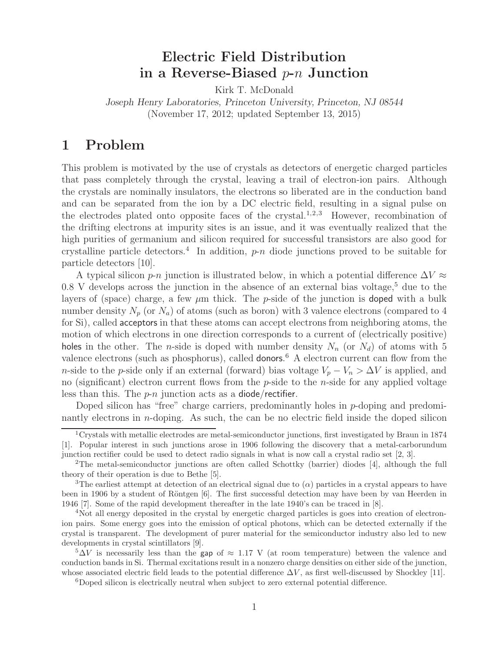# **Electric Field Distribution in a Reverse-Biased** p**-**n **Junction**

Kirk T. McDonald

*Joseph Henry Laboratories, Princeton University, Princeton, NJ 08544* (November 17, 2012; updated September 13, 2015)

## **1 Problem**

This problem is motivated by the use of crystals as detectors of energetic charged particles that pass completely through the crystal, leaving a trail of electron-ion pairs. Although the crystals are nominally insulators, the electrons so liberated are in the conduction band and can be separated from the ion by a DC electric field, resulting in a signal pulse on the electrodes plated onto opposite faces of the crystal.<sup>1,2,3</sup> However, recombination of the drifting electrons at impurity sites is an issue, and it was eventually realized that the high purities of germanium and silicon required for successful transistors are also good for crystalline particle detectors.<sup>4</sup> In addition,  $p$ -n diode junctions proved to be suitable for particle detectors [10].

A typical silicon  $p\neg n$  junction is illustrated below, in which a potential difference  $\Delta V \approx$  $0.8$  V develops across the junction in the absence of an external bias voltage,<sup>5</sup> due to the layers of (space) charge, a few  $\mu$ m thick. The p-side of the junction is **doped** with a bulk number density  $N_p$  (or  $N_a$ ) of atoms (such as boron) with 3 valence electrons (compared to 4 for Si), called acceptors in that these atoms can accept electrons from neighboring atoms, the motion of which electrons in one direction corresponds to a current of (electrically positive) holes in the other. The n-side is doped with number density  $N_n$  (or  $N_d$ ) of atoms with 5 valence electrons (such as phosphorus), called **donors**.<sup>6</sup> A electron current can flow from the n-side to the p-side only if an external (forward) bias voltage  $V_p - V_n > \Delta V$  is applied, and no (significant) electron current flows from the  $p$ -side to the *n*-side for any applied voltage less than this. The  $p-n$  junction acts as a diode/rectifier.

Doped silicon has "free" charge carriers, predominantly holes in p-doping and predominantly electrons in n-doping. As such, the can be no electric field inside the doped silicon

<sup>&</sup>lt;sup>1</sup>Crystals with metallic electrodes are metal-semiconductor junctions, first investigated by Braun in 1874 [1]. Popular interest in such junctions arose in 1906 following the discovery that a metal-carborundum junction rectifier could be used to detect radio signals in what is now call a crystal radio set [2, 3].

<sup>2</sup>The metal-semiconductor junctions are often called Schottky (barrier) diodes [4], although the full theory of their operation is due to Bethe [5].

<sup>&</sup>lt;sup>3</sup>The earliest attempt at detection of an electrical signal due to  $(\alpha)$  particles in a crystal appears to have been in 1906 by a student of Röntgen  $[6]$ . The first successful detection may have been by van Heerden in 1946 [7]. Some of the rapid development thereafter in the late 1940's can be traced in [8].

<sup>4</sup>Not all energy deposited in the crystal by energetic charged particles is goes into creation of electronion pairs. Some energy goes into the emission of optical photons, which can be detected externally if the crystal is transparent. The development of purer material for the semiconductor industry also led to new developments in crystal scintillators [9].

 $5\Delta V$  is necessarily less than the gap of  $\approx 1.17$  V (at room temperature) between the valence and conduction bands in Si. Thermal excitations result in a nonzero charge densities on either side of the junction, whose associated electric field leads to the potential difference  $\Delta V$ , as first well-discussed by Shockley [11].

<sup>&</sup>lt;sup>6</sup>Doped silicon is electrically neutral when subject to zero external potential difference.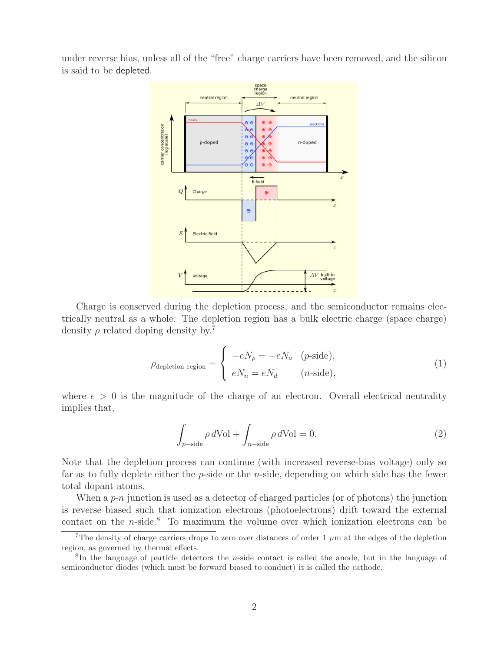under reverse bias, unless all of the "free" charge carriers have been removed, and the silicon is said to be depleted.



Charge is conserved during the depletion process, and the semiconductor remains electrically neutral as a whole. The depletion region has a bulk electric charge (space charge) density  $\rho$  related doping density by,<sup>7</sup>

$$
\rho_{\text{depletion region}} = \begin{cases}\n- eN_p = -eN_a & (p\text{-side}), \\
eN_n = eN_d & (n\text{-side}),\n\end{cases}
$$
\n(1)

where  $e > 0$  is the magnitude of the charge of an electron. Overall electrical neutrality implies that,

$$
\int_{p-\text{side}} \rho \, d\text{Vol} + \int_{n-\text{side}} \rho \, d\text{Vol} = 0. \tag{2}
$$

Note that the depletion process can continue (with increased reverse-bias voltage) only so far as to fully deplete either the  $p$ -side or the *n*-side, depending on which side has the fewer total dopant atoms.

When a  $p\negthinspace\negthinspace\negthinspace\negthinspace\negthinspace p\negthinspace\negthinspace\negthinspace\negthinspace\negthinspace\negthinspace\negthinspace\negthinspace\negthinspace p\n$  is used as a detector of charged particles (or of photons) the junction is reverse biased such that ionization electrons (photoelectrons) drift toward the external contact on the  $n$ -side.<sup>8</sup> To maximum the volume over which ionization electrons can be

<sup>&</sup>lt;sup>7</sup>The density of charge carriers drops to zero over distances of order 1  $\mu$ m at the edges of the depletion region, as governed by thermal effects.

<sup>8</sup>In the language of particle detectors the n-side contact is called the anode, but in the language of semiconductor diodes (which must be forward biased to conduct) it is called the cathode.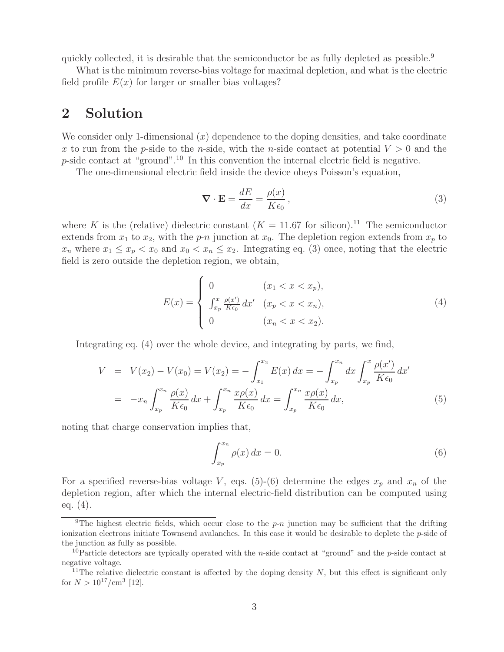quickly collected, it is desirable that the semiconductor be as fully depleted as possible.<sup>9</sup>

What is the minimum reverse-bias voltage for maximal depletion, and what is the electric field profile  $E(x)$  for larger or smaller bias voltages?

## **2 Solution**

We consider only 1-dimensional  $(x)$  dependence to the doping densities, and take coordinate x to run from the p-side to the n-side, with the n-side contact at potential  $V > 0$  and the  $p$ -side contact at "ground".<sup>10</sup> In this convention the internal electric field is negative.

The one-dimensional electric field inside the device obeys Poisson's equation,

$$
\nabla \cdot \mathbf{E} = \frac{dE}{dx} = \frac{\rho(x)}{K\epsilon_0},\tag{3}
$$

where K is the (relative) dielectric constant  $(K = 11.67$  for silicon).<sup>11</sup> The semiconductor extends from  $x_1$  to  $x_2$ , with the p-n junction at  $x_0$ . The depletion region extends from  $x_p$  to  $x_n$  where  $x_1 \leq x_p < x_0$  and  $x_0 < x_n \leq x_2$ . Integrating eq. (3) once, noting that the electric field is zero outside the depletion region, we obtain,

$$
E(x) = \begin{cases} 0 & (x_1 < x < x_p), \\ \int_{x_p}^x \frac{\rho(x')}{K\epsilon_0} dx' & (x_p < x < x_n), \\ 0 & (x_n < x < x_2). \end{cases}
$$
(4)

Integrating eq. (4) over the whole device, and integrating by parts, we find,

$$
V = V(x_2) - V(x_0) = V(x_2) = -\int_{x_1}^{x_2} E(x) dx = -\int_{x_p}^{x_n} dx \int_{x_p}^{x} \frac{\rho(x')}{K\epsilon_0} dx'
$$
  

$$
= -x_n \int_{x_p}^{x_n} \frac{\rho(x)}{K\epsilon_0} dx + \int_{x_p}^{x_n} \frac{x\rho(x)}{K\epsilon_0} dx = \int_{x_p}^{x_n} \frac{x\rho(x)}{K\epsilon_0} dx,
$$
(5)

noting that charge conservation implies that,

$$
\int_{x_p}^{x_n} \rho(x) dx = 0.
$$
\n(6)

For a specified reverse-bias voltage V, eqs. (5)-(6) determine the edges  $x_p$  and  $x_n$  of the depletion region, after which the internal electric-field distribution can be computed using eq. (4).

<sup>&</sup>lt;sup>9</sup>The highest electric fields, which occur close to the  $p-n$  junction may be sufficient that the drifting ionization electrons initiate Townsend avalanches. In this case it would be desirable to deplete the p-side of the junction as fully as possible.

<sup>&</sup>lt;sup>10</sup>Particle detectors are typically operated with the *n*-side contact at "ground" and the *p*-side contact at negative voltage.

<sup>&</sup>lt;sup>11</sup>The relative dielectric constant is affected by the doping density  $N$ , but this effect is significant only for  $N > 10^{17}/\text{cm}^3$  [12].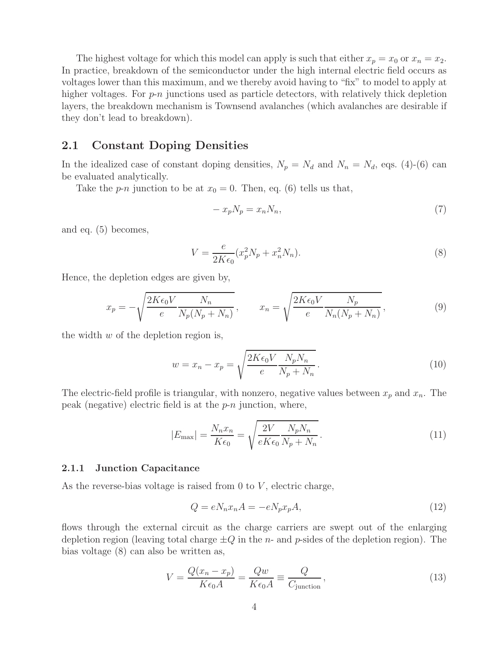The highest voltage for which this model can apply is such that either  $x_p = x_0$  or  $x_n = x_2$ . In practice, breakdown of the semiconductor under the high internal electric field occurs as voltages lower than this maximum, and we thereby avoid having to "fix" to model to apply at higher voltages. For  $p-n$  junctions used as particle detectors, with relatively thick depletion layers, the breakdown mechanism is Townsend avalanches (which avalanches are desirable if they don't lead to breakdown).

### **2.1 Constant Doping Densities**

In the idealized case of constant doping densities,  $N_p = N_d$  and  $N_n = N_d$ , eqs. (4)-(6) can be evaluated analytically.

Take the *p-n* junction to be at  $x_0 = 0$ . Then, eq. (6) tells us that,

$$
-x_p N_p = x_n N_n,\t\t(7)
$$

and eq. (5) becomes,

$$
V = \frac{e}{2K\epsilon_0} (x_p^2 N_p + x_n^2 N_n).
$$
 (8)

Hence, the depletion edges are given by,

$$
x_p = -\sqrt{\frac{2K\epsilon_0 V}{e}} \frac{N_n}{N_p (N_p + N_n)}, \qquad x_n = \sqrt{\frac{2K\epsilon_0 V}{e}} \frac{N_p}{N_n (N_p + N_n)},
$$
\n(9)

the width  $w$  of the depletion region is,

$$
w = x_n - x_p = \sqrt{\frac{2K\epsilon_0 V}{e} \frac{N_p N_n}{N_p + N_n}}.
$$
\n
$$
(10)
$$

The electric-field profile is triangular, with nonzero, negative values between  $x_p$  and  $x_n$ . The peak (negative) electric field is at the  $p-n$  junction, where,

$$
|E_{\text{max}}| = \frac{N_n x_n}{K \epsilon_0} = \sqrt{\frac{2V}{eK \epsilon_0} \frac{N_p N_n}{N_p + N_n}}.
$$
\n(11)

#### **2.1.1 Junction Capacitance**

As the reverse-bias voltage is raised from 0 to  $V$ , electric charge,

$$
Q = eN_n x_n A = -eN_p x_p A,
$$
\n(12)

flows through the external circuit as the charge carriers are swept out of the enlarging depletion region (leaving total charge  $\pm Q$  in the *n*- and *p*-sides of the depletion region). The bias voltage (8) can also be written as,

$$
V = \frac{Q(x_n - x_p)}{K\epsilon_0 A} = \frac{Qw}{K\epsilon_0 A} \equiv \frac{Q}{C_{\text{junction}}},
$$
\n(13)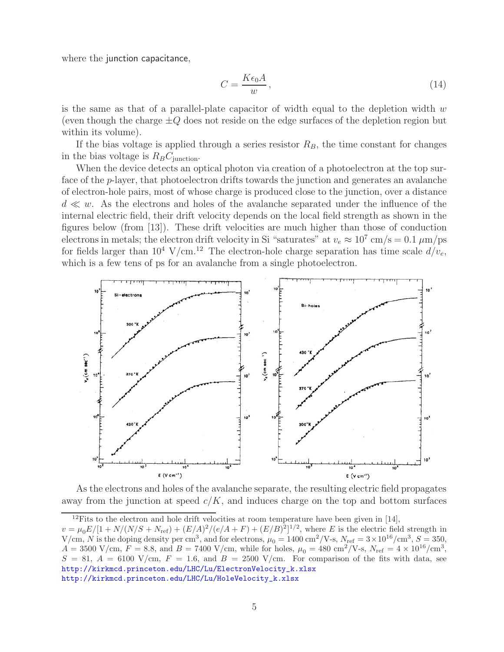where the junction capacitance,

$$
C = \frac{K\epsilon_0 A}{w},\tag{14}
$$

is the same as that of a parallel-plate capacitor of width equal to the depletion width  $w$ (even though the charge  $\pm Q$  does not reside on the edge surfaces of the depletion region but within its volume).

If the bias voltage is applied through a series resistor  $R_B$ , the time constant for changes in the bias voltage is  $R_B C_{\text{junction}}$ .

When the device detects an optical photon via creation of a photoelectron at the top surface of the p-layer, that photoelectron drifts towards the junction and generates an avalanche of electron-hole pairs, most of whose charge is produced close to the junction, over a distance  $d \ll w$ . As the electrons and holes of the avalanche separated under the influence of the internal electric field, their drift velocity depends on the local field strength as shown in the figures below (from [13]). These drift velocities are much higher than those of conduction electrons in metals; the electron drift velocity in Si "saturates" at  $v_e \approx 10^7$  cm/s = 0.1  $\mu$ m/ps for fields larger than  $10^4$  V/cm.<sup>12</sup> The electron-hole charge separation has time scale  $d/v_e$ , which is a few tens of ps for an avalanche from a single photoelectron.



As the electrons and holes of the avalanche separate, the resulting electric field propagates away from the junction at speed  $c/K$ , and induces charge on the top and bottom surfaces

<sup>&</sup>lt;sup>12</sup>Fits to the electron and hole drift velocities at room temperature have been given in [14],

 $v = \mu_0 E/[1 + N/(N/S + N_{\text{ref}}) + (E/A)^2/(e/A + F) + (E/B)^2]^{1/2}$ , where E is the electric field strength in  $V/cm, N$  is the doping density per cm<sup>3</sup>, and for electrons,  $\mu_0 = 1400 \text{ cm}^2/\text{V-s}$ ,  $N_{\text{ref}} = 3 \times 10^{16}/\text{cm}^3$ ,  $S = 350$ ,  $A = 3500 \text{ V/cm}, F = 8.8, \text{ and } B = 7400 \text{ V/cm}, \text{ while for holes, } \mu_0 = 480 \text{ cm}^2/\text{V-s}, N_{\text{ref}} = 4 \times 10^{16} / \text{cm}^3,$  $S = 81, A = 6100$  V/cm,  $F = 1.6$ , and  $B = 2500$  V/cm. For comparison of the fits with data, see http://kirkmcd.princeton.edu/LHC/Lu/ElectronVelocity\_k.xlsx http://kirkmcd.princeton.edu/LHC/Lu/HoleVelocity\_k.xlsx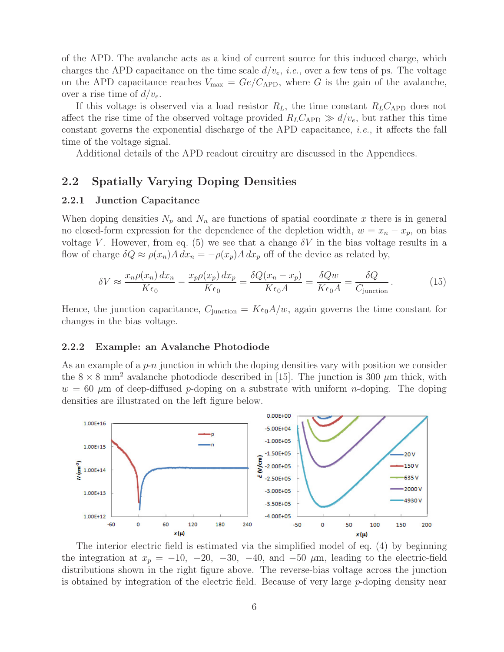of the APD. The avalanche acts as a kind of current source for this induced charge, which charges the APD capacitance on the time scale  $d/v_e$ , *i.e.*, over a few tens of ps. The voltage on the APD capacitance reaches  $V_{\text{max}} = Ge/C_{\text{APD}}$ , where G is the gain of the avalanche, over a rise time of  $d/v_e$ .

If this voltage is observed via a load resistor  $R_L$ , the time constant  $R_L C_{\rm APD}$  does not affect the rise time of the observed voltage provided  $R_L C_{\rm APD} \gg d/v_e$ , but rather this time constant governs the exponential discharge of the APD capacitance, *i.e.*, it affects the fall time of the voltage signal.

Additional details of the APD readout circuitry are discussed in the Appendices.

### **2.2 Spatially Varying Doping Densities**

#### **2.2.1 Junction Capacitance**

When doping densities  $N_p$  and  $N_n$  are functions of spatial coordinate x there is in general no closed-form expression for the dependence of the depletion width,  $w = x_n - x_p$ , on bias voltage V. However, from eq. (5) we see that a change  $\delta V$  in the bias voltage results in a flow of charge  $\delta Q \approx \rho(x_n) A dx_n = -\rho(x_p) A dx_p$  off of the device as related by,

$$
\delta V \approx \frac{x_n \rho(x_n) dx_n}{K \epsilon_0} - \frac{x_p \rho(x_p) dx_p}{K \epsilon_0} = \frac{\delta Q(x_n - x_p)}{K \epsilon_0 A} = \frac{\delta Q w}{K \epsilon_0 A} = \frac{\delta Q}{C_{\text{junction}}}.
$$
(15)

Hence, the junction capacitance,  $C_{\text{junction}} = K\epsilon_0 A/w$ , again governs the time constant for changes in the bias voltage.

#### **2.2.2 Example: an Avalanche Photodiode**

As an example of a  $p$ -n junction in which the doping densities vary with position we consider the  $8 \times 8$  mm<sup>2</sup> avalanche photodiode described in [15]. The junction is 300  $\mu$ m thick, with  $w = 60 \mu m$  of deep-diffused p-doping on a substrate with uniform n-doping. The doping densities are illustrated on the left figure below.



The interior electric field is estimated via the simplified model of eq. (4) by beginning the integration at  $x_p = -10, -20, -30, -40,$  and  $-50 \mu$ m, leading to the electric-field distributions shown in the right figure above. The reverse-bias voltage across the junction is obtained by integration of the electric field. Because of very large  $p$ -doping density near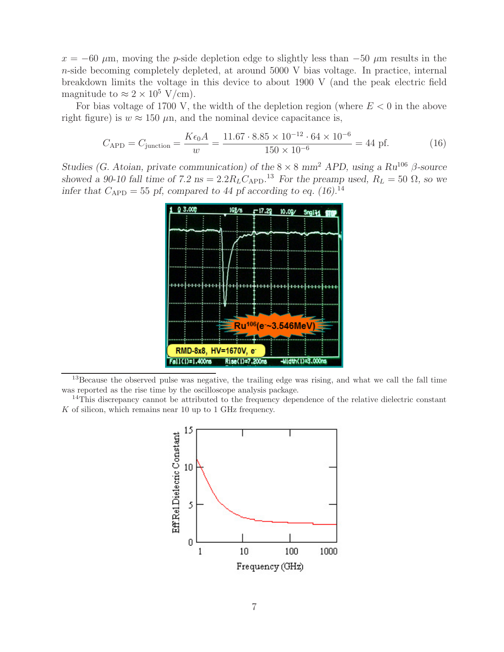$x = -60 \mu$ m, moving the p-side depletion edge to slightly less than  $-50 \mu$ m results in the n-side becoming completely depleted, at around 5000 V bias voltage. In practice, internal breakdown limits the voltage in this device to about 1900 V (and the peak electric field magnitude to  $\approx 2 \times 10^5$  V/cm).

For bias voltage of 1700 V, the width of the depletion region (where  $E < 0$  in the above right figure) is  $w \approx 150 \mu$ n, and the nominal device capacitance is,

$$
C_{\rm APD} = C_{\rm junction} = \frac{K\epsilon_0 A}{w} = \frac{11.67 \cdot 8.85 \times 10^{-12} \cdot 64 \times 10^{-6}}{150 \times 10^{-6}} = 44 \text{ pf.}
$$
 (16)

*Studies (G. Atoian, private communication) of the* <sup>8</sup> <sup>×</sup> <sup>8</sup> *mm*<sup>2</sup> *APD, using a Ru*<sup>106</sup> <sup>β</sup>*-source showed a 90-10 fall time of 7.2 ns* =  $2.2R_L C_{APD}$ <sup>13</sup> *For the preamp used,*  $R_L = 50 \Omega$ *, so we infer that*  $C_{\rm APD} = 55$  *pf, compared to 44 pf according to eq.* (16).<sup>14</sup>



<sup>13</sup>Because the observed pulse was negative, the trailing edge was rising, and what we call the fall time was reported as the rise time by the oscilloscope analysis package.

<sup>14</sup>This discrepancy cannot be attributed to the frequency dependence of the relative dielectric constant  $K$  of silicon, which remains near 10 up to 1 GHz frequency.

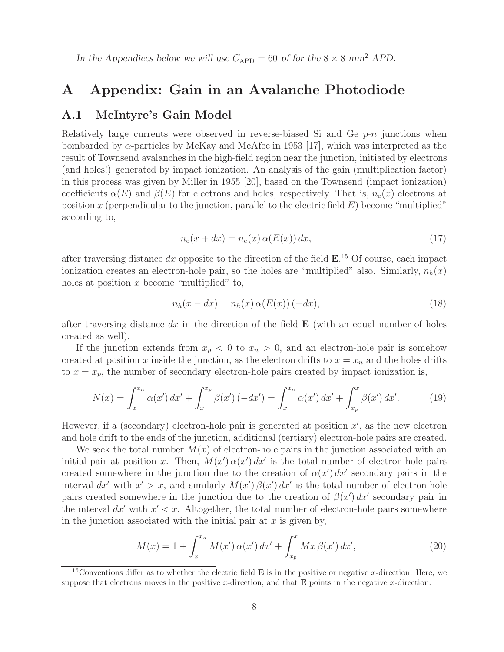In the Appendices below we will use  $C_{\rm APD} = 60$  pf for the  $8 \times 8$  mm<sup>2</sup> APD.

## **A Appendix: Gain in an Avalanche Photodiode**

### **A.1 McIntyre's Gain Model**

Relatively large currents were observed in reverse-biased Si and Ge  $p\n- n$  junctions when bombarded by α-particles by McKay and McAfee in 1953 [17], which was interpreted as the result of Townsend avalanches in the high-field region near the junction, initiated by electrons (and holes!) generated by impact ionization. An analysis of the gain (multiplication factor) in this process was given by Miller in 1955 [20], based on the Townsend (impact ionization) coefficients  $\alpha(E)$  and  $\beta(E)$  for electrons and holes, respectively. That is,  $n_e(x)$  electrons at position x (perpendicular to the junction, parallel to the electric field  $E$ ) become "multiplied" according to,

$$
n_e(x+dx) = n_e(x) \alpha(E(x)) dx,
$$
\n(17)

after traversing distance dx opposite to the direction of the field **E**. <sup>15</sup> Of course, each impact ionization creates an electron-hole pair, so the holes are "multiplied" also. Similarly,  $n_h(x)$ holes at position  $x$  become "multiplied" to,

$$
n_h(x - dx) = n_h(x) \alpha(E(x)) (-dx), \qquad (18)
$$

after traversing distance  $dx$  in the direction of the field  $\bf{E}$  (with an equal number of holes created as well).

If the junction extends from  $x_p < 0$  to  $x_n > 0$ , and an electron-hole pair is somehow created at position x inside the junction, as the electron drifts to  $x = x_n$  and the holes drifts to  $x = x_p$ , the number of secondary electron-hole pairs created by impact ionization is,

$$
N(x) = \int_{x}^{x_n} \alpha(x') dx' + \int_{x}^{x_p} \beta(x') (-dx') = \int_{x}^{x_n} \alpha(x') dx' + \int_{x_p}^{x} \beta(x') dx'.
$$
 (19)

However, if a (secondary) electron-hole pair is generated at position  $x'$ , as the new electron and hole drift to the ends of the junction, additional (tertiary) electron-hole pairs are created.

We seek the total number  $M(x)$  of electron-hole pairs in the junction associated with an initial pair at position x. Then,  $M(x') \alpha(x') dx'$  is the total number of electron-hole pairs created somewhere in the junction due to the creation of  $\alpha(x') dx'$  secondary pairs in the interval  $dx'$  with  $x' > x$ , and similarly  $M(x') \beta(x') dx'$  is the total number of electron-hole pairs created somewhere in the junction due to the creation of  $\beta(x') dx'$  secondary pair in the interval  $dx'$  with  $x' < x$ . Altogether, the total number of electron-hole pairs somewhere in the junction associated with the initial pair at  $x$  is given by,

$$
M(x) = 1 + \int_{x}^{x_n} M(x') \,\alpha(x') \, dx' + \int_{x_p}^{x} Mx \,\beta(x') \, dx', \tag{20}
$$

<sup>&</sup>lt;sup>15</sup>Conventions differ as to whether the electric field  $\bf{E}$  is in the positive or negative x-direction. Here, we suppose that electrons moves in the positive x-direction, and that  **points in the negative x-direction.**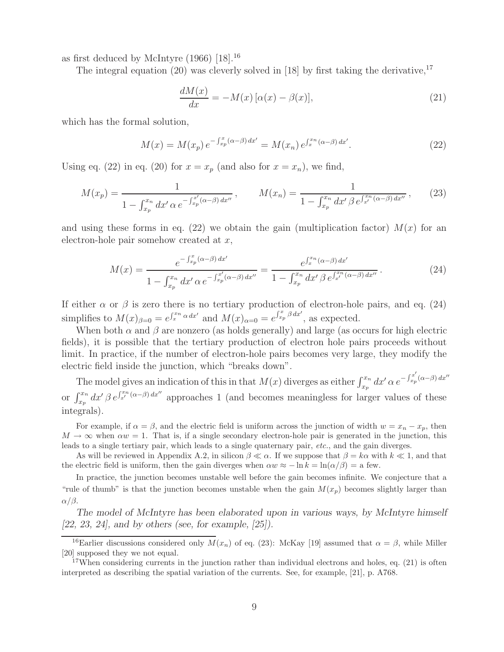as first deduced by McIntyre  $(1966)$  [18].<sup>16</sup>

The integral equation (20) was cleverly solved in [18] by first taking the derivative,  $17$ 

$$
\frac{dM(x)}{dx} = -M(x)\left[\alpha(x) - \beta(x)\right],\tag{21}
$$

which has the formal solution,

$$
M(x) = M(x_p) e^{-\int_{x_p}^{x} (\alpha - \beta) dx'} = M(x_n) e^{\int_{x}^{x_n} (\alpha - \beta) dx'}.
$$
 (22)

Using eq. (22) in eq. (20) for  $x = x_p$  (and also for  $x = x_n$ ), we find,

$$
M(x_p) = \frac{1}{1 - \int_{x_p}^{x_n} dx' \alpha e^{-\int_{x_p}^{x'} (\alpha - \beta) dx''}}, \qquad M(x_n) = \frac{1}{1 - \int_{x_p}^{x_n} dx' \beta e^{\int_{x'}^{x_n} (\alpha - \beta) dx''}}, \qquad (23)
$$

and using these forms in eq. (22) we obtain the gain (multiplication factor)  $M(x)$  for an electron-hole pair somehow created at  $x$ ,

$$
M(x) = \frac{e^{-\int_{x_p}^x (\alpha - \beta) dx'}}{1 - \int_{x_p}^{x_n} dx' \alpha e^{-\int_{x_p}^{x'} (\alpha - \beta) dx''}} = \frac{e^{\int_x^x n} (\alpha - \beta) dx'}{1 - \int_{x_p}^{x_n} dx' \beta e^{\int_{x'}^{x_n} (\alpha - \beta) dx''}}.
$$
(24)

If either  $\alpha$  or  $\beta$  is zero there is no tertiary production of electron-hole pairs, and eq. (24) simplifies to  $M(x)_{\beta=0} = e^{\int_x^x n \alpha dx'}$  and  $M(x)_{\alpha=0} = e^{\int_{x_p}^x \beta dx'}$ , as expected.

When both  $\alpha$  and  $\beta$  are nonzero (as holds generally) and large (as occurs for high electric fields), it is possible that the tertiary production of electron hole pairs proceeds without limit. In practice, if the number of electron-hole pairs becomes very large, they modify the electric field inside the junction, which "breaks down".

The model gives an indication of this in that  $M(x)$  diverges as either  $\int_{x_p}^{x_n} dx' \alpha e^{-\int_{x_p}^{x'} (\alpha - \beta) dx''}$ or  $\int_{x_p}^{x_n} dx' \beta e^{\int_{x'}^{x_n} (\alpha - \beta) dx''}$  approaches 1 (and becomes meaningless for larger values of these integrals).

For example, if  $\alpha = \beta$ , and the electric field is uniform across the junction of width  $w = x_n - x_p$ , then  $M \to \infty$  when  $\alpha w = 1$ . That is, if a single secondary electron-hole pair is generated in the junction, this leads to a single tertiary pair, which leads to a single quaternary pair, *etc.*, and the gain diverges.

As will be reviewed in Appendix A.2, in silicon  $\beta \ll \alpha$ . If we suppose that  $\beta = k\alpha$  with  $k \ll 1$ , and that the electric field is uniform, then the gain diverges when  $\alpha w \approx -\ln k = \ln(\alpha/\beta) =$  a few.

In practice, the junction becomes unstable well before the gain becomes infinite. We conjecture that a "rule of thumb" is that the junction becomes unstable when the gain  $M(x_p)$  becomes slightly larger than  $\alpha/\beta$ .

*The model of McIntyre has been elaborated upon in various ways, by McIntyre himself [22, 23, 24], and by others (see, for example, [25]).*

<sup>&</sup>lt;sup>16</sup>Earlier discussions considered only  $\overline{M}(x_n)$  of eq. (23): McKay [19] assumed that  $\alpha = \beta$ , while Miller [20] supposed they we not equal.

 $17$ When considering currents in the junction rather than individual electrons and holes, eq. (21) is often interpreted as describing the spatial variation of the currents. See, for example, [21], p. A768.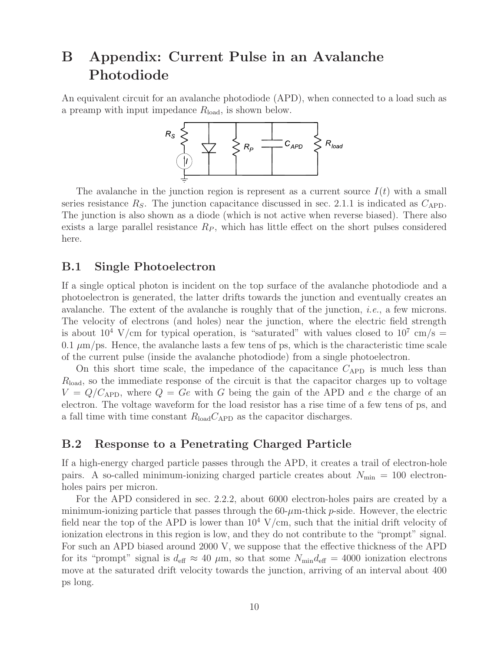# **B Appendix: Current Pulse in an Avalanche Photodiode**

An equivalent circuit for an avalanche photodiode (APD), when connected to a load such as a preamp with input impedance  $R_{load}$ , is shown below.



The avalanche in the junction region is represent as a current source  $I(t)$  with a small series resistance  $R<sub>S</sub>$ . The junction capacitance discussed in sec. 2.1.1 is indicated as  $C<sub>APD</sub>$ . The junction is also shown as a diode (which is not active when reverse biased). There also exists a large parallel resistance  $R<sub>P</sub>$ , which has little effect on the short pulses considered here.

### **B.1 Single Photoelectron**

If a single optical photon is incident on the top surface of the avalanche photodiode and a photoelectron is generated, the latter drifts towards the junction and eventually creates an avalanche. The extent of the avalanche is roughly that of the junction, *i.e.*, a few microns. The velocity of electrons (and holes) near the junction, where the electric field strength is about  $10^4$  V/cm for typical operation, is "saturated" with values closed to  $10^7$  cm/s = 0.1  $\mu$ m/ps. Hence, the avalanche lasts a few tens of ps, which is the characteristic time scale of the current pulse (inside the avalanche photodiode) from a single photoelectron.

On this short time scale, the impedance of the capacitance  $C_{\rm APD}$  is much less than  $R_{\text{load}}$ , so the immediate response of the circuit is that the capacitor charges up to voltage  $V = Q/C_{\rm APD}$ , where  $Q = Ge$  with G being the gain of the APD and e the charge of an electron. The voltage waveform for the load resistor has a rise time of a few tens of ps, and a fall time with time constant  $R_{load}C_{APD}$  as the capacitor discharges.

### **B.2 Response to a Penetrating Charged Particle**

If a high-energy charged particle passes through the APD, it creates a trail of electron-hole pairs. A so-called minimum-ionizing charged particle creates about  $N_{\text{min}} = 100$  electronholes pairs per micron.

For the APD considered in sec. 2.2.2, about 6000 electron-holes pairs are created by a minimum-ionizing particle that passes through the  $60-\mu$ m-thick p-side. However, the electric field near the top of the APD is lower than  $10^4$  V/cm, such that the initial drift velocity of ionization electrons in this region is low, and they do not contribute to the "prompt" signal. For such an APD biased around 2000 V, we suppose that the effective thickness of the APD for its "prompt" signal is  $d_{\text{eff}} \approx 40 \ \mu \text{m}$ , so that some  $N_{\text{min}} d_{\text{eff}} = 4000$  ionization electrons move at the saturated drift velocity towards the junction, arriving of an interval about 400 ps long.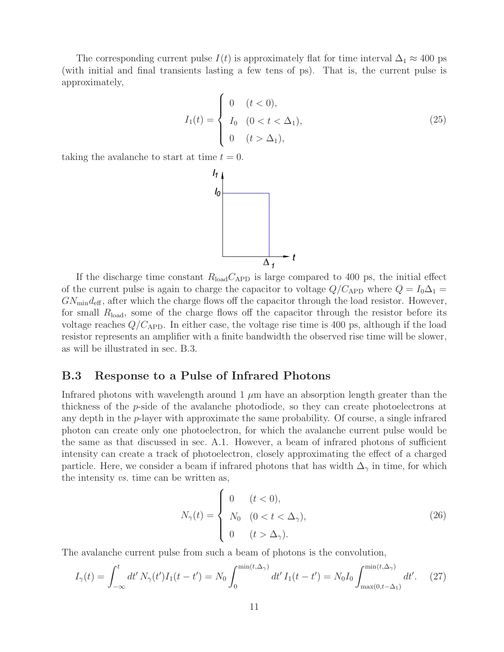The corresponding current pulse  $I(t)$  is approximately flat for time interval  $\Delta_1 \approx 400$  ps (with initial and final transients lasting a few tens of ps). That is, the current pulse is approximately,

$$
I_1(t) = \begin{cases} 0 & (t < 0), \\ I_0 & (0 < t < \Delta_1), \\ 0 & (t > \Delta_1), \end{cases}
$$
 (25)

taking the avalanche to start at time  $t = 0$ .



If the discharge time constant  $R_{load}C_{APD}$  is large compared to 400 ps, the initial effect of the current pulse is again to charge the capacitor to voltage  $Q/C_{\rm APD}$  where  $Q = I_0 \Delta_1 =$  $GN_{\text{min}}d_{\text{eff}}$ , after which the charge flows off the capacitor through the load resistor. However, for small  $R_{load}$ , some of the charge flows off the capacitor through the resistor before its voltage reaches  $Q/C_{\rm APD}$ . In either case, the voltage rise time is 400 ps, although if the load resistor represents an amplifier with a finite bandwidth the observed rise time will be slower, as will be illustrated in sec. B.3.

#### **B.3 Response to a Pulse of Infrared Photons**

Infrared photons with wavelength around  $1 \mu m$  have an absorption length greater than the thickness of the p-side of the avalanche photodiode, so they can create photoelectrons at any depth in the p-layer with approximate the same probability. Of course, a single infrared photon can create only one photoelectron, for which the avalanche current pulse would be the same as that discussed in sec. A.1. However, a beam of infrared photons of sufficient intensity can create a track of photoelectron, closely approximating the effect of a charged particle. Here, we consider a beam if infrared photons that has width  $\Delta_{\gamma}$  in time, for which the intensity *vs.* time can be written as,

$$
N_{\gamma}(t) = \begin{cases} 0 & (t < 0), \\ N_0 & (0 < t < \Delta_{\gamma}), \\ 0 & (t > \Delta_{\gamma}). \end{cases} \tag{26}
$$

The avalanche current pulse from such a beam of photons is the convolution,

$$
I_{\gamma}(t) = \int_{-\infty}^{t} dt' N_{\gamma}(t') I_{1}(t - t') = N_{0} \int_{0}^{\min(t, \Delta_{\gamma})} dt' I_{1}(t - t') = N_{0} I_{0} \int_{\max(0, t - \Delta_{1})}^{\min(t, \Delta_{\gamma})} dt'. \tag{27}
$$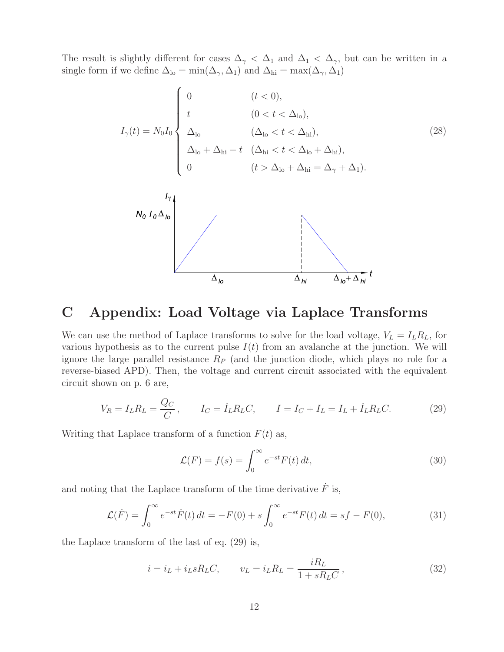The result is slightly different for cases  $\Delta_{\gamma} < \Delta_1$  and  $\Delta_1 < \Delta_{\gamma}$ , but can be written in a single form if we define  $\Delta_{lo} = min(\Delta_{\gamma}, \Delta_1)$  and  $\Delta_{hi} = max(\Delta_{\gamma}, \Delta_1)$ 

$$
I_{\gamma}(t) = N_0 I_0 \begin{cases} 0 & (t < 0), \\ t & (0 < t < \Delta_{\text{lo}}), \\ \Delta_{\text{lo}} & (\Delta_{\text{lo}} < t < \Delta_{\text{hi}}), \\ \Delta_{\text{lo}} + \Delta_{\text{hi}} - t & (\Delta_{\text{hi}} < t < \Delta_{\text{lo}} + \Delta_{\text{hi}}), \\ 0 & (t > \Delta_{\text{lo}} + \Delta_{\text{hi}} = \Delta_{\gamma} + \Delta_1). \end{cases} \tag{28}
$$



## **C Appendix: Load Voltage via Laplace Transforms**

We can use the method of Laplace transforms to solve for the load voltage,  $V_L = I_L R_L$ , for various hypothesis as to the current pulse  $I(t)$  from an avalanche at the junction. We will ignore the large parallel resistance  $R_P$  (and the junction diode, which plays no role for a reverse-biased APD). Then, the voltage and current circuit associated with the equivalent circuit shown on p. 6 are,

$$
V_R = I_L R_L = \frac{Q_C}{C}, \qquad I_C = \dot{I}_L R_L C, \qquad I = I_C + I_L = I_L + \dot{I}_L R_L C.
$$
 (29)

Writing that Laplace transform of a function  $F(t)$  as,

$$
\mathcal{L}(F) = f(s) = \int_0^\infty e^{-st} F(t) dt,
$$
\n(30)

and noting that the Laplace transform of the time derivative  $\ddot{F}$  is,

$$
\mathcal{L}(\dot{F}) = \int_0^\infty e^{-st} \dot{F}(t) dt = -F(0) + s \int_0^\infty e^{-st} F(t) dt = sf - F(0), \tag{31}
$$

the Laplace transform of the last of eq. (29) is,

$$
i = i_L + i_L s R_L C,
$$
  $v_L = i_L R_L = \frac{iR_L}{1 + sR_L C},$  (32)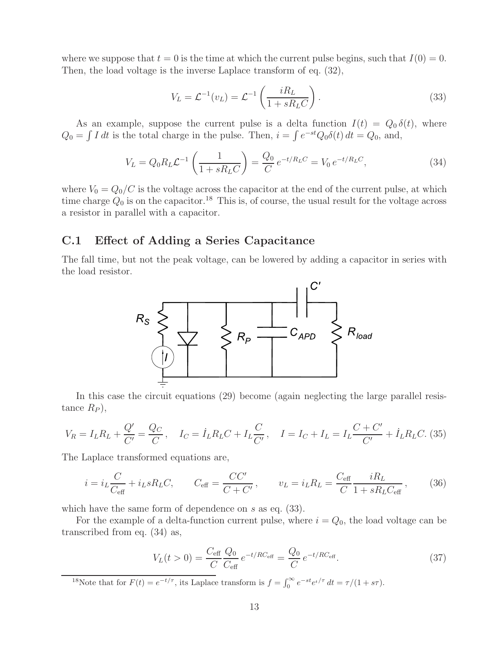where we suppose that  $t = 0$  is the time at which the current pulse begins, such that  $I(0) = 0$ . Then, the load voltage is the inverse Laplace transform of eq. (32),

$$
V_L = \mathcal{L}^{-1}(v_L) = \mathcal{L}^{-1}\left(\frac{iR_L}{1 + sR_L C}\right). \tag{33}
$$

As an example, suppose the current pulse is a delta function  $I(t) = Q_0 \delta(t)$ , where  $Q_0 = \int I dt$  is the total charge in the pulse. Then,  $i = \int e^{-st} Q_0 \delta(t) dt = Q_0$ , and,

$$
V_L = Q_0 R_L \mathcal{L}^{-1} \left( \frac{1}{1 + s R_L C} \right) = \frac{Q_0}{C} e^{-t/R_L C} = V_0 e^{-t/R_L C}, \tag{34}
$$

where  $V_0 = Q_0/C$  is the voltage across the capacitor at the end of the current pulse, at which time charge  $Q_0$  is on the capacitor.<sup>18</sup> This is, of course, the usual result for the voltage across a resistor in parallel with a capacitor.

### **C.1 Effect of Adding a Series Capacitance**

The fall time, but not the peak voltage, can be lowered by adding a capacitor in series with the load resistor.



In this case the circuit equations (29) become (again neglecting the large parallel resistance  $R_P$ ),

$$
V_R = I_L R_L + \frac{Q'}{C'} = \frac{Q_C}{C}, \quad I_C = \dot{I}_L R_L C + I_L \frac{C}{C'}, \quad I = I_C + I_L = I_L \frac{C + C'}{C'} + \dot{I}_L R_L C. (35)
$$

The Laplace transformed equations are,

$$
i = i_L \frac{C}{C_{\text{eff}}} + i_L s R_L C,
$$
  $C_{\text{eff}} = \frac{C C'}{C + C'}$ ,  $v_L = i_L R_L = \frac{C_{\text{eff}}}{C} \frac{i R_L}{1 + s R_L C_{\text{eff}}}$ , (36)

which have the same form of dependence on s as eq.  $(33)$ .

For the example of a delta-function current pulse, where  $i = Q_0$ , the load voltage can be transcribed from eq. (34) as,

$$
V_L(t>0) = \frac{C_{\text{eff}}}{C} \frac{Q_0}{C_{\text{eff}}} e^{-t/RC_{\text{eff}}} = \frac{Q_0}{C} e^{-t/RC_{\text{eff}}}.
$$
 (37)

<sup>18</sup>Note that for  $F(t) = e^{-t/\tau}$ , its Laplace transform is  $f = \int_0^\infty e^{-st} e^{t/\tau} dt = \tau/(1 + s\tau)$ .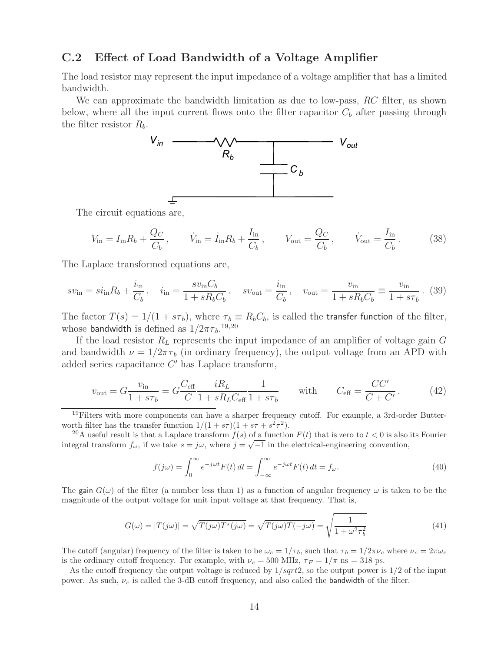### **C.2 Effect of Load Bandwidth of a Voltage Amplifier**

The load resistor may represent the input impedance of a voltage amplifier that has a limited bandwidth.

We can approximate the bandwidth limitation as due to low-pass, RC filter, as shown below, where all the input current flows onto the filter capacitor  $C_b$  after passing through the filter resistor  $R_b$ .



The circuit equations are,

$$
V_{\text{in}} = I_{\text{in}} R_b + \frac{Q_C}{C_b}, \qquad \dot{V}_{\text{in}} = \dot{I}_{\text{in}} R_b + \frac{I_{\text{in}}}{C_b}, \qquad V_{\text{out}} = \frac{Q_C}{C_b}, \qquad \dot{V}_{\text{out}} = \frac{I_{\text{in}}}{C_b}.
$$
 (38)

The Laplace transformed equations are,

$$
sv_{\rm in} = si_{\rm in}R_b + \frac{i_{\rm in}}{C_b}, \quad i_{\rm in} = \frac{sv_{\rm in}C_b}{1 + sR_bC_b}, \quad sv_{\rm out} = \frac{i_{\rm in}}{C_b}, \quad v_{\rm out} = \frac{v_{\rm in}}{1 + sR_bC_b} \equiv \frac{v_{\rm in}}{1 + s\tau_b}.
$$
 (39)

The factor  $T(s)=1/(1 + s\tau_b)$ , where  $\tau_b \equiv R_bC_b$ , is called the transfer function of the filter, whose bandwidth is defined as  $1/2\pi\tau_b$ .<sup>19,20</sup>

If the load resistor  $R_L$  represents the input impedance of an amplifier of voltage gain  $G$ and bandwidth  $\nu = 1/2\pi\tau_b$  (in ordinary frequency), the output voltage from an APD with added series capacitance  $C'$  has Laplace transform,

$$
v_{\text{out}} = G \frac{v_{\text{in}}}{1 + s\tau_b} = G \frac{C_{\text{eff}}}{C} \frac{iR_L}{1 + sR_L C_{\text{eff}}} \frac{1}{1 + s\tau_b} \quad \text{with} \quad C_{\text{eff}} = \frac{CC'}{C + C'}.
$$
 (42)

 $19$ Filters with more components can have a sharper frequency cutoff. For example, a 3rd-order Butterworth filter has the transfer function  $1/(1 + s\tau)(1 + s\tau + s^2\tau^2)$ .

<sup>20</sup>A useful result is that a Laplace transform  $f(s)$  of a function  $F(t)$  that is zero to  $t < 0$  is also its Fourier integral transform  $f_{\omega}$ , if we take  $s = j\omega$ , where  $j = \sqrt{-1}$  in the electrical-engineering convention,

$$
f(j\omega) = \int_0^\infty e^{-j\omega t} F(t) dt = \int_{-\infty}^\infty e^{-j\omega t} F(t) dt = f_\omega.
$$
 (40)

The gain  $G(\omega)$  of the filter (a number less than 1) as a function of angular frequency  $\omega$  is taken to be the magnitude of the output voltage for unit input voltage at that frequency. That is,

$$
G(\omega) = |T(j\omega)| = \sqrt{T(j\omega)T^*(j\omega)} = \sqrt{T(j\omega)T(-j\omega)} = \sqrt{\frac{1}{1 + \omega^2 \tau_b^2}}
$$
(41)

The cutoff (angular) frequency of the filter is taken to be  $\omega_c = 1/\tau_b$ , such that  $\tau_b = 1/2\pi\nu_c$  where  $\nu_c = 2\pi\omega_c$ is the ordinary cutoff frequency. For example, with  $\nu_c = 500 \text{ MHz}$ ,  $\tau_F = 1/\pi \text{ ns} = 318 \text{ ps}$ .

As the cutoff frequency the output voltage is reduced by  $1/sqrt2$ , so the output power is  $1/2$  of the input power. As such,  $\nu_c$  is called the 3-dB cutoff frequency, and also called the bandwidth of the filter.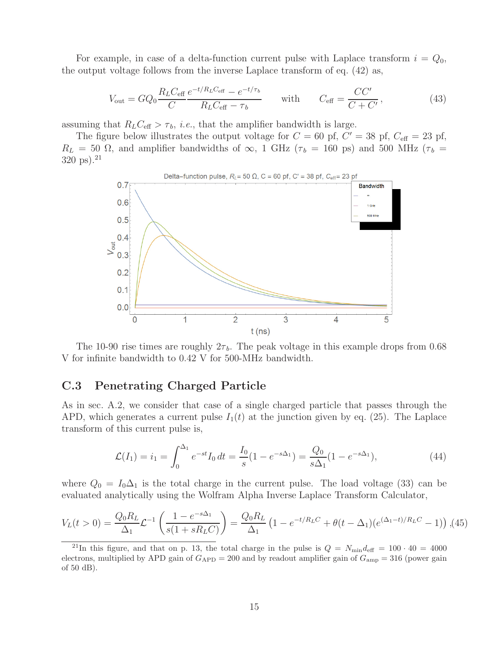For example, in case of a delta-function current pulse with Laplace transform  $i = Q_0$ , the output voltage follows from the inverse Laplace transform of eq. (42) as,

$$
V_{\text{out}} = GQ_0 \frac{R_L C_{\text{eff}}}{C} \frac{e^{-t/R_L C_{\text{eff}}} - e^{-t/\tau_b}}{R_L C_{\text{eff}} - \tau_b} \quad \text{with} \quad C_{\text{eff}} = \frac{CC'}{C + C'}, \tag{43}
$$

assuming that  $R_L C_{\text{eff}} > \tau_b$ , *i.e.*, that the amplifier bandwidth is large.

The figure below illustrates the output voltage for  $C = 60$  pf,  $C' = 38$  pf,  $C_{\text{eff}} = 23$  pf,  $R_L = 50 \Omega$ , and amplifier bandwidths of  $\infty$ , 1 GHz ( $\tau_b = 160 \text{ ps}$ ) and 500 MHz ( $\tau_b =$  $320 \text{ ps}$ ).<sup>21</sup>



The 10-90 rise times are roughly  $2\tau_b$ . The peak voltage in this example drops from 0.68 V for infinite bandwidth to 0.42 V for 500-MHz bandwidth.

### **C.3 Penetrating Charged Particle**

As in sec. A.2, we consider that case of a single charged particle that passes through the APD, which generates a current pulse  $I_1(t)$  at the junction given by eq. (25). The Laplace transform of this current pulse is,

$$
\mathcal{L}(I_1) = i_1 = \int_0^{\Delta_1} e^{-st} I_0 dt = \frac{I_0}{s} (1 - e^{-s\Delta_1}) = \frac{Q_0}{s\Delta_1} (1 - e^{-s\Delta_1}),\tag{44}
$$

where  $Q_0 = I_0 \Delta_1$  is the total charge in the current pulse. The load voltage (33) can be evaluated analytically using the Wolfram Alpha Inverse Laplace Transform Calculator,

$$
V_L(t>0) = \frac{Q_0 R_L}{\Delta_1} \mathcal{L}^{-1} \left( \frac{1 - e^{-s\Delta_1}}{s(1 + sR_L C)} \right) = \frac{Q_0 R_L}{\Delta_1} \left( 1 - e^{-t/R_L C} + \theta(t - \Delta_1)(e^{(\Delta_1 - t)/R_L C} - 1) \right),
$$
(45)

<sup>&</sup>lt;sup>21</sup>In this figure, and that on p. 13, the total charge in the pulse is  $Q = N_{\text{min}}d_{\text{eff}} = 100 \cdot 40 = 4000$ electrons, multiplied by APD gain of  $G_{APD} = 200$  and by readout amplifier gain of  $G_{amp} = 316$  (power gain of 50 dB).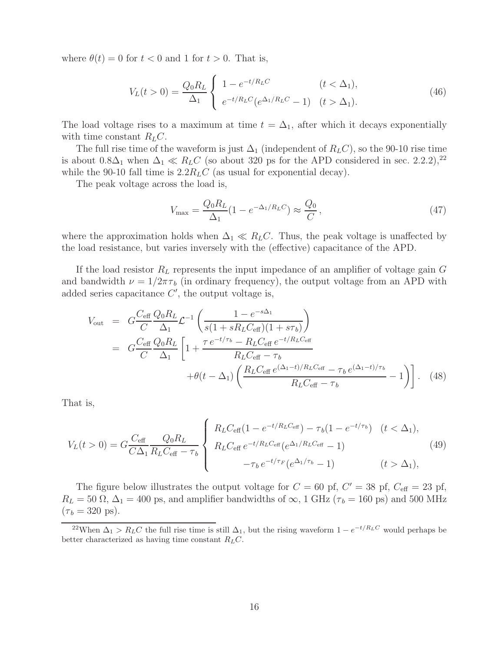where  $\theta(t) = 0$  for  $t < 0$  and 1 for  $t > 0$ . That is,

$$
V_L(t>0) = \frac{Q_0 R_L}{\Delta_1} \begin{cases} 1 - e^{-t/R_L C} & (t < \Delta_1), \\ e^{-t/R_L C} (e^{\Delta_1/R_L C} - 1) & (t > \Delta_1). \end{cases} \tag{46}
$$

The load voltage rises to a maximum at time  $t = \Delta_1$ , after which it decays exponentially with time constant  $R_LC$ .

The full rise time of the waveform is just  $\Delta_1$  (independent of  $R_LC$ ), so the 90-10 rise time is about  $0.8\Delta_1$  when  $\Delta_1 \ll R_L C$  (so about 320 ps for the APD considered in sec. 2.2.2),<sup>22</sup> while the 90-10 fall time is  $2.2R<sub>L</sub>C$  (as usual for exponential decay).

The peak voltage across the load is,

$$
V_{\text{max}} = \frac{Q_0 R_L}{\Delta_1} (1 - e^{-\Delta_1 / R_L C}) \approx \frac{Q_0}{C}, \qquad (47)
$$

where the approximation holds when  $\Delta_1 \ll R_L C$ . Thus, the peak voltage is unaffected by the load resistance, but varies inversely with the (effective) capacitance of the APD.

If the load resistor  $R_L$  represents the input impedance of an amplifier of voltage gain  $G$ and bandwidth  $\nu = 1/2\pi\tau_b$  (in ordinary frequency), the output voltage from an APD with added series capacitance  $C'$ , the output voltage is,

$$
V_{\text{out}} = G \frac{C_{\text{eff}}}{C} \frac{Q_0 R_L}{\Delta_1} \mathcal{L}^{-1} \left( \frac{1 - e^{-s\Delta_1}}{s(1 + sR_L C_{\text{eff}})(1 + s\tau_b)} \right)
$$
  
= 
$$
G \frac{C_{\text{eff}}}{C} \frac{Q_0 R_L}{\Delta_1} \left[ 1 + \frac{\tau e^{-t/\tau_b} - R_L C_{\text{eff}} e^{-t/R_L C_{\text{eff}}}}{R_L C_{\text{eff}} - \tau_b} + \theta (t - \Delta_1) \left( \frac{R_L C_{\text{eff}} e^{(\Delta_1 - t)/R_L C_{\text{eff}}}}{R_L C_{\text{eff}} - \tau_b} - 1 \right) \right].
$$
 (48)

That is,

$$
V_L(t>0) = G \frac{C_{\text{eff}}}{C\Delta_1} \frac{Q_0 R_L}{R_L C_{\text{eff}} - \tau_b} \begin{cases} R_L C_{\text{eff}} (1 - e^{-t/R_L C_{\text{eff}}}) - \tau_b (1 - e^{-t/\tau_b}) & (t < \Delta_1), \\ R_L C_{\text{eff}} e^{-t/R_L C_{\text{eff}}} (e^{\Delta_1/R_L C_{\text{eff}}} - 1) & (t > \Delta_1), \\ -\tau_b e^{-t/\tau_F} (e^{\Delta_1/\tau_b} - 1) & (t > \Delta_1), \end{cases} \tag{49}
$$

The figure below illustrates the output voltage for  $C = 60$  pf,  $C' = 38$  pf,  $C_{\text{eff}} = 23$  pf,  $R_L = 50 \Omega$ ,  $\Delta_1 = 400$  ps, and amplifier bandwidths of  $\infty$ , 1 GHz ( $\tau_b = 160$  ps) and 500 MHz  $(\tau_b = 320 \text{ ps}).$ 

<sup>&</sup>lt;sup>22</sup>When  $\Delta_1 > R_L C$  the full rise time is still  $\Delta_1$ , but the rising waveform  $1 - e^{-t/R_L C}$  would perhaps be better characterized as having time constant  $R_LC$ .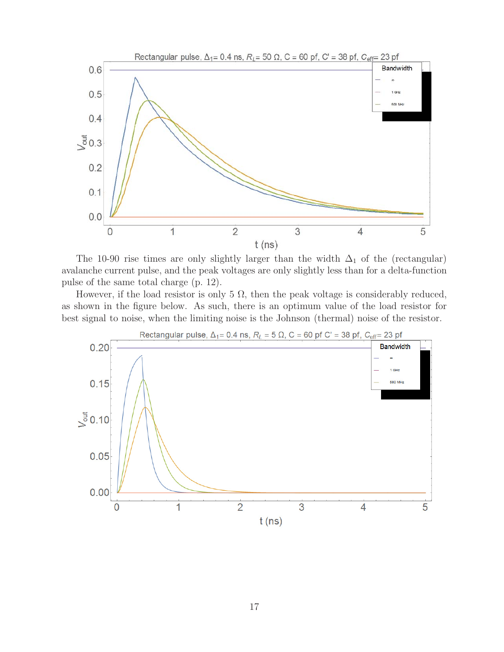

The 10-90 rise times are only slightly larger than the width  $\Delta_1$  of the (rectangular) avalanche current pulse, and the peak voltages are only slightly less than for a delta-function pulse of the same total charge (p. 12).

However, if the load resistor is only 5  $\Omega$ , then the peak voltage is considerably reduced, as shown in the figure below. As such, there is an optimum value of the load resistor for best signal to noise, when the limiting noise is the Johnson (thermal) noise of the resistor.

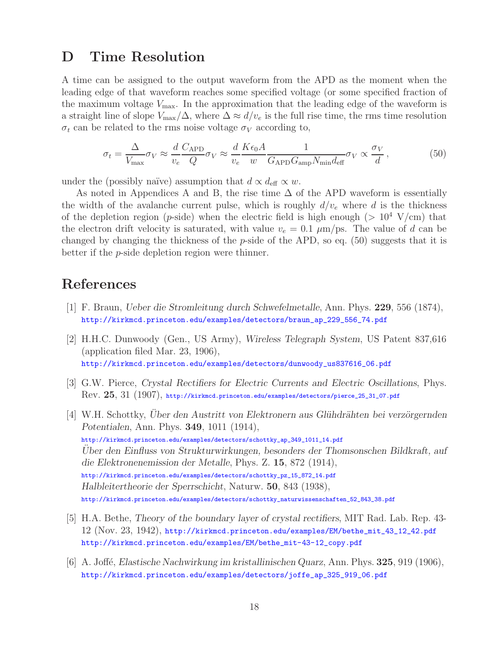## **D Time Resolution**

A time can be assigned to the output waveform from the APD as the moment when the leading edge of that waveform reaches some specified voltage (or some specified fraction of the maximum voltage  $V_{\text{max}}$ . In the approximation that the leading edge of the waveform is a straight line of slope  $V_{\text{max}}/\Delta$ , where  $\Delta \approx d/v_e$  is the full rise time, the rms time resolution  $\sigma_t$  can be related to the rms noise voltage  $\sigma_V$  according to,

$$
\sigma_t = \frac{\Delta}{V_{\text{max}}} \sigma_V \approx \frac{d}{v_e} \frac{C_{\text{APD}}}{Q} \sigma_V \approx \frac{d}{v_e} \frac{K \epsilon_0 A}{w} \frac{1}{G_{\text{APD}} G_{\text{amp}} N_{\text{min}} d_{\text{eff}}} \sigma_V \propto \frac{\sigma_V}{d},\tag{50}
$$

under the (possibly naïve) assumption that  $d \propto d_{\text{eff}} \propto w$ .

As noted in Appendices A and B, the rise time  $\Delta$  of the APD waveform is essentially the width of the avalanche current pulse, which is roughly  $d/v_e$  where d is the thickness of the depletion region (*p*-side) when the electric field is high enough ( $> 10^4$  V/cm) that the electron drift velocity is saturated, with value  $v_e = 0.1 \mu m / ps$ . The value of d can be changed by changing the thickness of the  $p$ -side of the APD, so eq. (50) suggests that it is better if the p-side depletion region were thinner.

# **References**

- [1] F. Braun, *Ueber die Stromleitung durch Schwefelmetalle*, Ann. Phys. **229**, 556 (1874), http://kirkmcd.princeton.edu/examples/detectors/braun\_ap\_229\_556\_74.pdf
- [2] H.H.C. Dunwoody (Gen., US Army), *Wireless Telegraph System*, US Patent 837,616 (application filed Mar. 23, 1906), http://kirkmcd.princeton.edu/examples/detectors/dunwoody\_us837616\_06.pdf
- [3] G.W. Pierce, *Crystal Rectifiers for Electric Currents and Electric Oscillations*, Phys. Rev. **25**, 31 (1907), http://kirkmcd.princeton.edu/examples/detectors/pierce\_25\_31\_07.pdf
- [4] W.H. Schottky, *Über den Austritt von Elektronern aus Glühdrähten bei verzörgernden Potentialen*, Ann. Phys. **349**, 1011 (1914), http://kirkmcd.princeton.edu/examples/detectors/schottky\_ap\_349\_1011\_14.pdf *Uber den Einfluss von Strukturwirkungen, besonders der Thomsonschen Bildkraft, auf ¨ die Elektronenemission der Metalle*, Phys. Z. **15**, 872 (1914), http://kirkmcd.princeton.edu/examples/detectors/schottky\_pz\_15\_872\_14.pdf *Halbleitertheorie der Sperrschicht*, Naturw. **50**, 843 (1938), http://kirkmcd.princeton.edu/examples/detectors/schottky\_naturwissenschaften\_52\_843\_38.pdf
- [5] H.A. Bethe, *Theory of the boundary layer of crystal rectifiers*, MIT Rad. Lab. Rep. 43- 12 (Nov. 23, 1942), http://kirkmcd.princeton.edu/examples/EM/bethe\_mit\_43\_12\_42.pdf http://kirkmcd.princeton.edu/examples/EM/bethe\_mit-43-12\_copy.pdf
- [6] A. Joff´e, *Elastische Nachwirkung im kristallinischen Quarz*, Ann. Phys. **325**, 919 (1906), http://kirkmcd.princeton.edu/examples/detectors/joffe\_ap\_325\_919\_06.pdf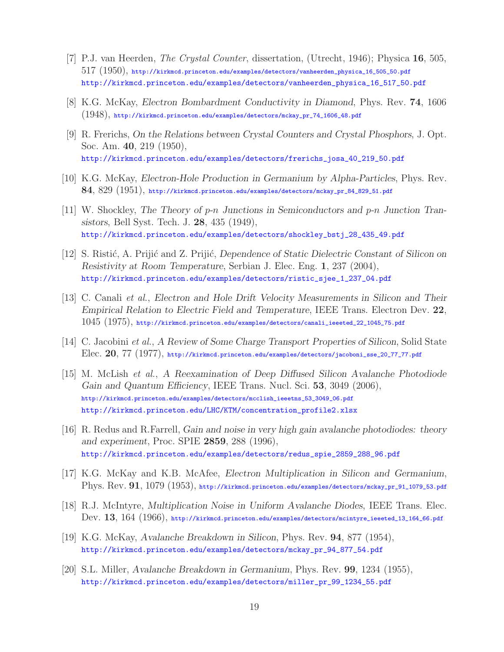- [7] P.J. van Heerden, *The Crystal Counter*, dissertation, (Utrecht, 1946); Physica **16**, 505,  $517$   $(1950)$ , http://kirkmcd.princeton.edu/examples/detectors/vanheerden\_physica\_16\_505\_50.pdf http://kirkmcd.princeton.edu/examples/detectors/vanheerden\_physica\_16\_517\_50.pdf
- [8] K.G. McKay, *Electron Bombardment Conductivity in Diamond*, Phys. Rev. **74**, 1606 (1948), http://kirkmcd.princeton.edu/examples/detectors/mckay\_pr\_74\_1606\_48.pdf
- [9] R. Frerichs, *On the Relations between Crystal Counters and Crystal Phosphors*, J. Opt. Soc. Am. **40**, 219 (1950), http://kirkmcd.princeton.edu/examples/detectors/frerichs\_josa\_40\_219\_50.pdf
- [10] K.G. McKay, *Electron-Hole Production in Germanium by Alpha-Particles*, Phys. Rev. **84**, 829 (1951), http://kirkmcd.princeton.edu/examples/detectors/mckay\_pr\_84\_829\_51.pdf
- [11] W. Shockley, *The Theory of* p*-*n *Junctions in Semiconductors and* p*-*n *Junction Transistors*, Bell Syst. Tech. J. **28**, 435 (1949), http://kirkmcd.princeton.edu/examples/detectors/shockley\_bstj\_28\_435\_49.pdf
- [12] S. Risti´c, A. Priji´c and Z. Priji´c, *Dependence of Static Dielectric Constant of Silicon on Resistivity at Room Temperature*, Serbian J. Elec. Eng. **1**, 237 (2004), http://kirkmcd.princeton.edu/examples/detectors/ristic\_sjee\_1\_237\_04.pdf
- [13] C. Canali *et al.*, *Electron and Hole Drift Velocity Measurements in Silicon and Their Empirical Relation to Electric Field and Temperature*, IEEE Trans. Electron Dev. **22**, 1045 (1975), http://kirkmcd.princeton.edu/examples/detectors/canali\_ieeeted\_22\_1045\_75.pdf
- [14] C. Jacobini *et al.*, *A Review of Some Charge Transport Properties of Silicon*, Solid State Elec. **20**, 77 (1977), http://kirkmcd.princeton.edu/examples/detectors/jacoboni\_sse\_20\_77\_77.pdf
- [15] M. McLish *et al.*, *A Reexamination of Deep Diffused Silicon Avalanche Photodiode Gain and Quantum Efficiency*, IEEE Trans. Nucl. Sci. **53**, 3049 (2006), http://kirkmcd.princeton.edu/examples/detectors/mcclish\_ieeetns\_53\_3049\_06.pdf http://kirkmcd.princeton.edu/LHC/KTM/concentration\_profile2.xlsx
- [16] R. Redus and R.Farrell, *Gain and noise in very high gain avalanche photodiodes: theory and experiment*, Proc. SPIE **2859**, 288 (1996), http://kirkmcd.princeton.edu/examples/detectors/redus\_spie\_2859\_288\_96.pdf
- [17] K.G. McKay and K.B. McAfee, *Electron Multiplication in Silicon and Germanium*, Phys. Rev. **91**, 1079 (1953), http://kirkmcd.princeton.edu/examples/detectors/mckay\_pr\_91\_1079\_53.pdf
- [18] R.J. McIntyre, *Multiplication Noise in Uniform Avalanche Diodes*, IEEE Trans. Elec. Dev. **13**, 164 (1966), http://kirkmcd.princeton.edu/examples/detectors/mcintyre\_ieeeted\_13\_164\_66.pdf
- [19] K.G. McKay, *Avalanche Breakdown in Silicon*, Phys. Rev. **94**, 877 (1954), http://kirkmcd.princeton.edu/examples/detectors/mckay\_pr\_94\_877\_54.pdf
- [20] S.L. Miller, *Avalanche Breakdown in Germanium*, Phys. Rev. **99**, 1234 (1955), http://kirkmcd.princeton.edu/examples/detectors/miller\_pr\_99\_1234\_55.pdf